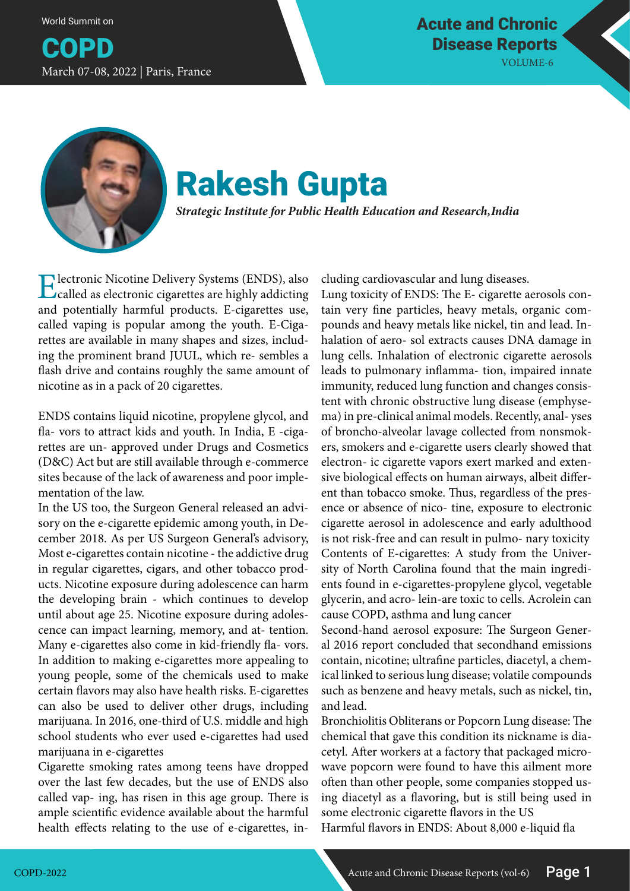World Summit on

COPD March 07-08, 2022 | Paris, France



## Rakesh Gupta

*Strategic Institute for Public Health Education and Research, India*

Electronic Nicotine Delivery Systems (ENDS), also called as electronic cigarettes are highly addicting and potentially harmful products. E-cigarettes use, called vaping is popular among the youth. E-Cigarettes are available in many shapes and sizes, including the prominent brand JUUL, which re- sembles a flash drive and contains roughly the same amount of nicotine as in a pack of 20 cigarettes.

ENDS contains liquid nicotine, propylene glycol, and fla- vors to attract kids and youth. In India, E -cigarettes are un- approved under Drugs and Cosmetics (D&C) Act but are still available through e-commerce sites because of the lack of awareness and poor implementation of the law.

In the US too, the Surgeon General released an advisory on the e-cigarette epidemic among youth, in December 2018. As per US Surgeon General's advisory, Most e-cigarettes contain nicotine - the addictive drug in regular cigarettes, cigars, and other tobacco products. Nicotine exposure during adolescence can harm the developing brain - which continues to develop until about age 25. Nicotine exposure during adolescence can impact learning, memory, and at- tention. Many e-cigarettes also come in kid-friendly fla- vors. In addition to making e-cigarettes more appealing to young people, some of the chemicals used to make certain flavors may also have health risks. E-cigarettes can also be used to deliver other drugs, including marijuana. In 2016, one-third of U.S. middle and high school students who ever used e-cigarettes had used marijuana in e-cigarettes

Cigarette smoking rates among teens have dropped over the last few decades, but the use of ENDS also called vap- ing, has risen in this age group. There is ample scientific evidence available about the harmful health effects relating to the use of e-cigarettes, including cardiovascular and lung diseases.

Lung toxicity of ENDS: The E- cigarette aerosols contain very fine particles, heavy metals, organic compounds and heavy metals like nickel, tin and lead. Inhalation of aero- sol extracts causes DNA damage in lung cells. Inhalation of electronic cigarette aerosols leads to pulmonary inflamma- tion, impaired innate immunity, reduced lung function and changes consistent with chronic obstructive lung disease (emphysema) in pre-clinical animal models. Recently, anal- yses of broncho-alveolar lavage collected from nonsmokers, smokers and e-cigarette users clearly showed that electron- ic cigarette vapors exert marked and extensive biological effects on human airways, albeit different than tobacco smoke. Thus, regardless of the presence or absence of nico- tine, exposure to electronic cigarette aerosol in adolescence and early adulthood is not risk-free and can result in pulmo- nary toxicity Contents of E-cigarettes: A study from the University of North Carolina found that the main ingredients found in e-cigarettes-propylene glycol, vegetable glycerin, and acro- lein-are toxic to cells. Acrolein can cause COPD, asthma and lung cancer

Second-hand aerosol exposure: The Surgeon General 2016 report concluded that secondhand emissions contain, nicotine; ultrafine particles, diacetyl, a chemical linked to serious lung disease; volatile compounds such as benzene and heavy metals, such as nickel, tin, and lead.

Bronchiolitis Obliterans or Popcorn Lung disease: The chemical that gave this condition its nickname is diacetyl. After workers at a factory that packaged microwave popcorn were found to have this ailment more often than other people, some companies stopped using diacetyl as a flavoring, but is still being used in some electronic cigarette flavors in the US

Harmful flavors in ENDS: About 8,000 e-liquid fla